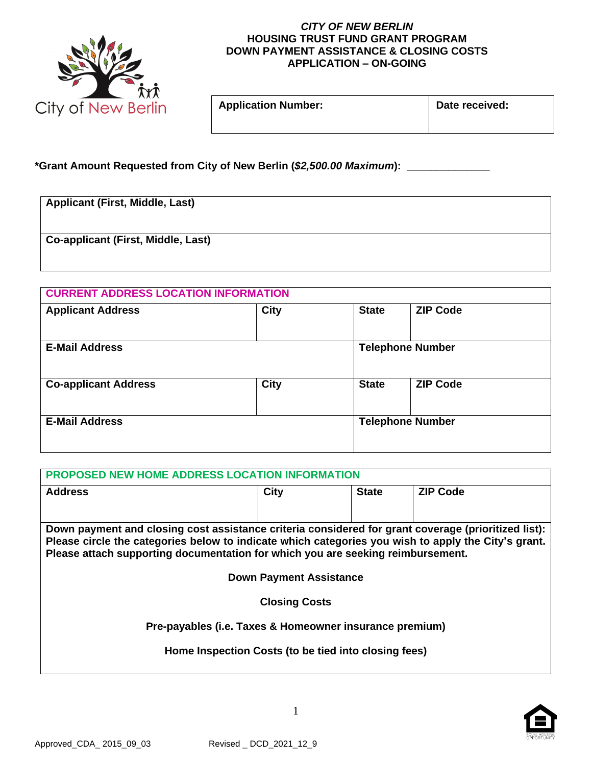

## *CITY OF NEW BERLIN* **HOUSING TRUST FUND GRANT PROGRAM DOWN PAYMENT ASSISTANCE & CLOSING COSTS APPLICATION – ON-GOING**

| Application Number: | Date received: |
|---------------------|----------------|
|                     |                |

| ate received: |  |
|---------------|--|
|               |  |

## **\*Grant Amount Requested from City of New Berlin (***\$2,500.00 Maximum***): \_\_\_\_\_\_\_\_\_\_\_\_\_\_**

| <b>Applicant (First, Middle, Last)</b> |  |  |  |  |
|----------------------------------------|--|--|--|--|
|                                        |  |  |  |  |
| Co-applicant (First, Middle, Last)     |  |  |  |  |
|                                        |  |  |  |  |

| <b>CURRENT ADDRESS LOCATION INFORMATION</b> |             |                         |                         |  |
|---------------------------------------------|-------------|-------------------------|-------------------------|--|
| <b>Applicant Address</b>                    | <b>City</b> | <b>State</b>            | <b>ZIP Code</b>         |  |
| <b>E-Mail Address</b>                       |             | <b>Telephone Number</b> |                         |  |
| <b>Co-applicant Address</b>                 | <b>City</b> | <b>State</b>            | <b>ZIP Code</b>         |  |
| <b>E-Mail Address</b>                       |             |                         | <b>Telephone Number</b> |  |

| PROPOSED NEW HOME ADDRESS LOCATION INFORMATION                                                      |      |              |                 |
|-----------------------------------------------------------------------------------------------------|------|--------------|-----------------|
| <b>Address</b>                                                                                      | City | <b>State</b> | <b>ZIP Code</b> |
|                                                                                                     |      |              |                 |
| Down payment and closing cost assistance criteria considered for grant coverage (prioritized list): |      |              |                 |
| Please circle the categories below to indicate which categories you wish to apply the City's grant. |      |              |                 |
| Please attach supporting documentation for which you are seeking reimbursement.                     |      |              |                 |
|                                                                                                     |      |              |                 |
| <b>Down Payment Assistance</b>                                                                      |      |              |                 |
| <b>Closing Costs</b>                                                                                |      |              |                 |
|                                                                                                     |      |              |                 |
| Pre-payables (i.e. Taxes & Homeowner insurance premium)                                             |      |              |                 |
|                                                                                                     |      |              |                 |
| Home Inspection Costs (to be tied into closing fees)                                                |      |              |                 |
|                                                                                                     |      |              |                 |

1

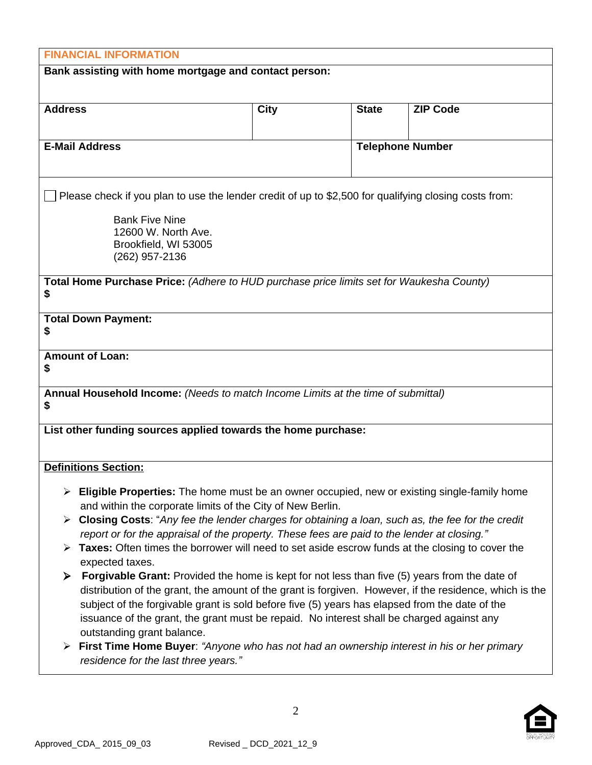| <b>FINANCIAL INFORMATION</b>                                                                                                       |             |              |                         |  |
|------------------------------------------------------------------------------------------------------------------------------------|-------------|--------------|-------------------------|--|
| Bank assisting with home mortgage and contact person:                                                                              |             |              |                         |  |
|                                                                                                                                    |             |              |                         |  |
| <b>Address</b>                                                                                                                     | <b>City</b> | <b>State</b> | <b>ZIP Code</b>         |  |
|                                                                                                                                    |             |              |                         |  |
| <b>E-Mail Address</b>                                                                                                              |             |              | <b>Telephone Number</b> |  |
|                                                                                                                                    |             |              |                         |  |
| Please check if you plan to use the lender credit of up to \$2,500 for qualifying closing costs from:                              |             |              |                         |  |
| <b>Bank Five Nine</b>                                                                                                              |             |              |                         |  |
| 12600 W. North Ave.                                                                                                                |             |              |                         |  |
| Brookfield, WI 53005                                                                                                               |             |              |                         |  |
| (262) 957-2136                                                                                                                     |             |              |                         |  |
| Total Home Purchase Price: (Adhere to HUD purchase price limits set for Waukesha County)                                           |             |              |                         |  |
| \$                                                                                                                                 |             |              |                         |  |
| <b>Total Down Payment:</b>                                                                                                         |             |              |                         |  |
| \$                                                                                                                                 |             |              |                         |  |
| <b>Amount of Loan:</b>                                                                                                             |             |              |                         |  |
| \$                                                                                                                                 |             |              |                         |  |
| Annual Household Income: (Needs to match Income Limits at the time of submittal)                                                   |             |              |                         |  |
| \$                                                                                                                                 |             |              |                         |  |
| List other funding sources applied towards the home purchase:                                                                      |             |              |                         |  |
|                                                                                                                                    |             |              |                         |  |
| <b>Definitions Section:</b>                                                                                                        |             |              |                         |  |
| $\triangleright$ Eligible Properties: The home must be an owner occupied, new or existing single-family home                       |             |              |                         |  |
| and within the corporate limits of the City of New Berlin.                                                                         |             |              |                         |  |
| <b>Closing Costs:</b> "Any fee the lender charges for obtaining a loan, such as, the fee for the credit                            |             |              |                         |  |
| report or for the appraisal of the property. These fees are paid to the lender at closing."                                        |             |              |                         |  |
| Taxes: Often times the borrower will need to set aside escrow funds at the closing to cover the<br>expected taxes.                 |             |              |                         |  |
| <b>Forgivable Grant:</b> Provided the home is kept for not less than five (5) years from the date of<br>➤                          |             |              |                         |  |
| distribution of the grant, the amount of the grant is forgiven. However, if the residence, which is the                            |             |              |                         |  |
| subject of the forgivable grant is sold before five (5) years has elapsed from the date of the                                     |             |              |                         |  |
| issuance of the grant, the grant must be repaid. No interest shall be charged against any                                          |             |              |                         |  |
| outstanding grant balance.                                                                                                         |             |              |                         |  |
| First Time Home Buyer: "Anyone who has not had an ownership interest in his or her primary<br>residence for the last three years." |             |              |                         |  |
|                                                                                                                                    |             |              |                         |  |



2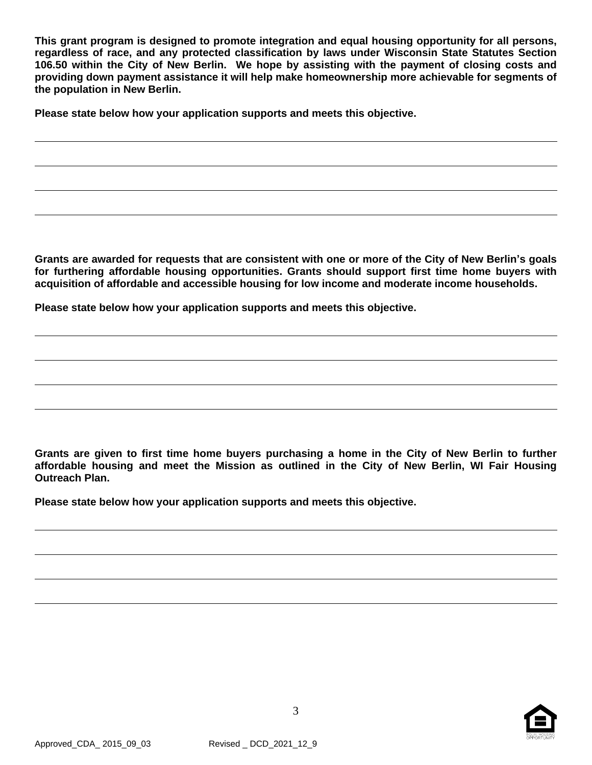**This grant program is designed to promote integration and equal housing opportunity for all persons, regardless of race, and any protected classification by laws under Wisconsin State Statutes Section 106.50 within the City of New Berlin. We hope by assisting with the payment of closing costs and providing down payment assistance it will help make homeownership more achievable for segments of the population in New Berlin.**

**Please state below how your application supports and meets this objective.**

Grants are awarded for requests that are consistent with one or more of the City of New Berlin's goals **for furthering affordable housing opportunities. Grants should support first time home buyers with acquisition of affordable and accessible housing for low income and moderate income households.**

**Please state below how your application supports and meets this objective.**

Grants are given to first time home buyers purchasing a home in the City of New Berlin to further **affordable housing and meet the Mission as outlined in the City of New Berlin, WI Fair Housing Outreach Plan.**

**Please state below how your application supports and meets this objective.**



3